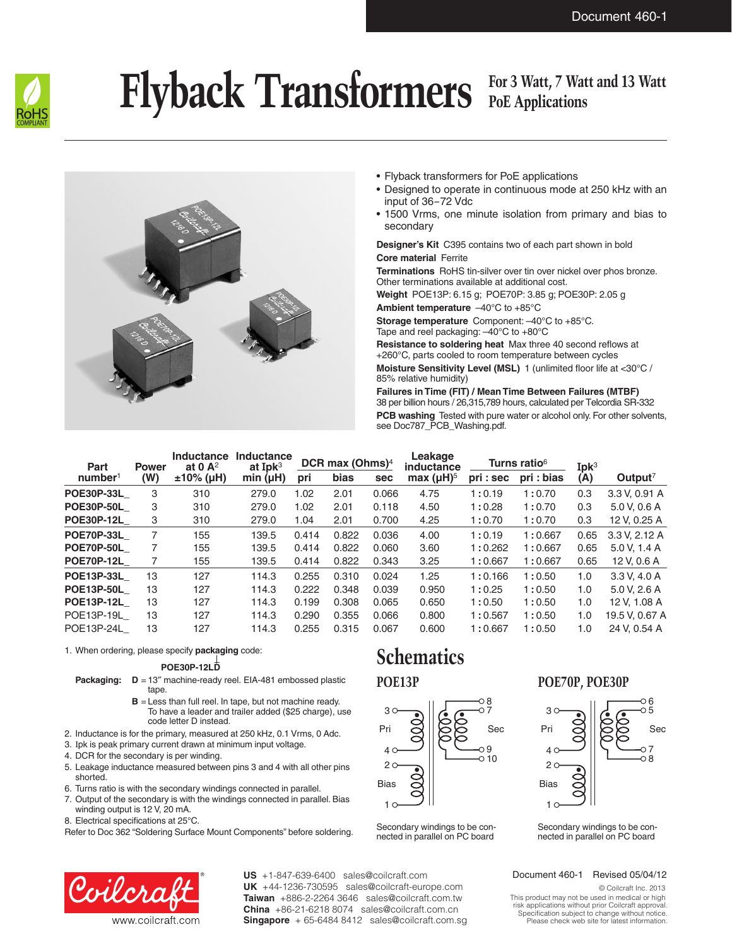

# Flyback Transformers For 3 Watt, 7 Watt and 13 Watt **PoE Applications**



- Flyback transformers for PoE applications
- Designed to operate in continuous mode at 250 kHz with an input of 36–72 Vdc
- 1500 Vrms, one minute isolation from primary and bias to secondary

**Designer's Kit** C395 contains two of each part shown in bold **Core material** Ferrite

**Terminations** RoHS tin-silver over tin over nickel over phos bronze. Other terminations available at additional cost.

**Weight** POE13P: 6.15 g; POE70P: 3.85 g; POE30P: 2.05 g

**Ambient temperature** –40°C to +85°C

**Storage temperature** Component: –40°C to +85°C. Tape and reel packaging: –40°C to +80°C

**Resistance to soldering heat** Max three 40 second reflows at +260°C, parts cooled to room temperature between cycles

**Moisture Sensitivity Level (MSL)** 1 (unlimited floor life at <30°C / 85% relative humidity)

**Failures in Time (FIT) / Mean Time Between Failures (MTBF)** 38 per billion hours / 26,315,789 hours, calculated per Telcordia SR-332 **PCB washing** Tested with pure water or alcohol only. For other solvents, see Doc787\_PCB\_Washing.pdf.

| Part                | <b>Power</b> | Inductance<br>at $0 \, \mathsf{A}^2$ | <b>Inductance</b><br>at $I$ <sub>p</sub> $k^3$ | DCR max (Ohms) <sup>4</sup> |       |            | Leakage<br>inductance | <b>Turns ratio</b> <sup>6</sup> |            | Ipk <sup>3</sup> |                     |
|---------------------|--------------|--------------------------------------|------------------------------------------------|-----------------------------|-------|------------|-----------------------|---------------------------------|------------|------------------|---------------------|
| number <sup>1</sup> | (W)          | $±10\%$ (µH)                         | min ( $\mu$ H)                                 | pri                         | bias  | <b>sec</b> | max $(\mu H)^5$       | pri : sec                       | pri : bias | (A)              | Output <sup>7</sup> |
| <b>POE30P-33L</b>   | 3            | 310                                  | 279.0                                          | 1.02                        | 2.01  | 0.066      | 4.75                  | 1:0.19                          | 1:0.70     | 0.3              | 3.3 V, 0.91 A       |
| <b>POE30P-50L</b>   | 3            | 310                                  | 279.0                                          | 1.02                        | 2.01  | 0.118      | 4.50                  | 1:0.28                          | 1:0.70     | 0.3              | 5.0 V. 0.6 A        |
| <b>POE30P-12L</b>   | 3            | 310                                  | 279.0                                          | 1.04                        | 2.01  | 0.700      | 4.25                  | 1:0.70                          | 1:0.70     | 0.3              | 12 V, 0.25 A        |
| <b>POE70P-33L</b>   | 7            | 155                                  | 139.5                                          | 0.414                       | 0.822 | 0.036      | 4.00                  | 1:0.19                          | 1:0.667    | 0.65             | 3.3 V. 2.12 A       |
| <b>POE70P-50L</b>   |              | 155                                  | 139.5                                          | 0.414                       | 0.822 | 0.060      | 3.60                  | 1:0.262                         | 1:0.667    | 0.65             | 5.0 V. 1.4 A        |
| <b>POE70P-12L</b>   | 7            | 155                                  | 139.5                                          | 0.414                       | 0.822 | 0.343      | 3.25                  | 1:0.667                         | 1:0.667    | 0.65             | 12 V, 0.6 A         |
| <b>POE13P-33L</b>   | 13           | 127                                  | 114.3                                          | 0.255                       | 0.310 | 0.024      | 1.25                  | 1:0.166                         | 1:0.50     | 1.0              | 3.3 V. 4.0 A        |
| <b>POE13P-50L</b>   | 13           | 127                                  | 114.3                                          | 0.222                       | 0.348 | 0.039      | 0.950                 | 1:0.25                          | 1:0.50     | 1.0              | 5.0 V. 2.6 A        |
| <b>POE13P-12L</b>   | 13           | 127                                  | 114.3                                          | 0.199                       | 0.308 | 0.065      | 0.650                 | 1:0.50                          | 1:0.50     | 1.0              | 12 V, 1.08 A        |
| POE13P-19L          | 13           | 127                                  | 114.3                                          | 0.290                       | 0.355 | 0.066      | 0.800                 | 1:0.567                         | 1:0.50     | 1.0              | 19.5 V, 0.67 A      |
| POE13P-24L          | 13           | 127                                  | 114.3                                          | 0.255                       | 0.315 | 0.067      | 0.600                 | 1:0.667                         | 1:0.50     | 1.0              | 24 V. 0.54 A        |

#### 1. When ordering, please specify **packaging** code:

#### **POE30P-12LD**

- **Packaging: D** = 13" machine-ready reel. EIA-481 embossed plastic tape.
	- **B** = Less than full reel. In tape, but not machine ready. To have a leader and trailer added (\$25 charge), use code letter D instead.
- 2. Inductance is for the primary, measured at 250 kHz, 0.1 Vrms, 0 Adc.
- 3. Ipk is peak primary current drawn at minimum input voltage.
- 4. DCR for the secondary is per winding.
- 5. Leakage inductance measured between pins 3 and 4 with all other pins shorted.
- 6. Turns ratio is with the secondary windings connected in parallel.
- 7. Output of the secondary is with the windings connected in parallel. Bias winding output is 12 V, 20 mA.
- 8. Electrical specifications at 25°C.

Refer to Doc 362 "Soldering Surface Mount Components" before soldering.



**US** +1-847-639-6400 sales@coilcraft.com **UK** +44-1236-730595 sales@coilcraft-europe.com **Taiwan** +886-2-2264 3646 sales@coilcraft.com.tw **China** +86-21-6218 8074 sales@coilcraft.com.cn **Singapore** + 65-6484 8412 sales@coilcraft.com.sg

# **Schematics**

## $\overline{8}$ 3 7 Sec C  $\rm{{}^{09}_{010}}$  $_{20}$   $\sim$  10 **Bias**  $1<sub>c</sub>$

Secondary windings to be connected in parallel on PC board

## **POE13P POE70P, POE30P**



Secondary windings to be connected in parallel on PC board

### Document 460-1 Revised 05/04/12

© Coilcraft Inc. 2013

This product may not be used in medical or high risk applications without prior Coilcraft approval. Specification subject to change without notice. Please check web site for latest information.